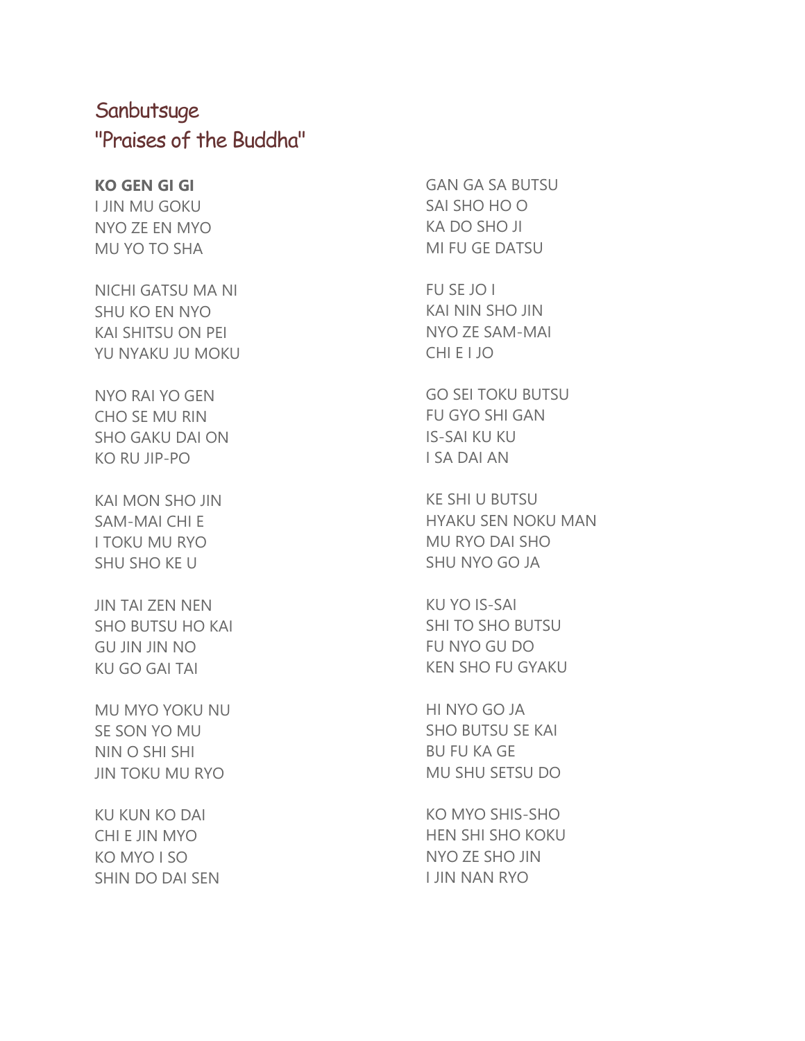## **Sanbutsuge** "Praises of the Buddha"

## **KO GEN GI GI**

I JIN MU GOKU NYO ZE EN MYO MU YO TO SHA

NICHI GATSU MA NI SHU KO EN NYO KAI SHITSU ON PEI YU NYAKU JU MOKU

NYO RAI YO GEN CHO SE MU RIN SHO GAKU DAI ON KO RU JIP-PO

KAI MON SHO JIN SAM-MAI CHI E I TOKU MU RYO SHU SHO KE U

JIN TAI ZEN NEN SHO BUTSU HO KAI GU JIN JIN NO KU GO GAI TAI

MU MYO YOKU NU SE SON YO MU NIN O SHI SHI JIN TOKU MU RYO

KU KUN KO DAI CHI E JIN MYO KO MYO I SO SHIN DO DAI SEN GAN GA SA BUTSU SAI SHO HO O KA DO SHO JI MI FU GE DATSU

FU SE JO I KAI NIN SHO JIN NYO ZE SAM-MAI CHI E I JO

GO SEI TOKU BUTSU FU GYO SHI GAN IS-SAI KU KU I SA DAI AN

KE SHI U BUTSU HYAKU SEN NOKU MAN MU RYO DAI SHO SHU NYO GO JA

KU YO IS-SAI SHI TO SHO BUTSU FU NYO GU DO KEN SHO FU GYAKU

HI NYO GO JA SHO BUTSU SE KAI BU FU KA GE MU SHU SETSU DO

KO MYO SHIS-SHO HEN SHI SHO KOKU NYO ZE SHO JIN I JIN NAN RYO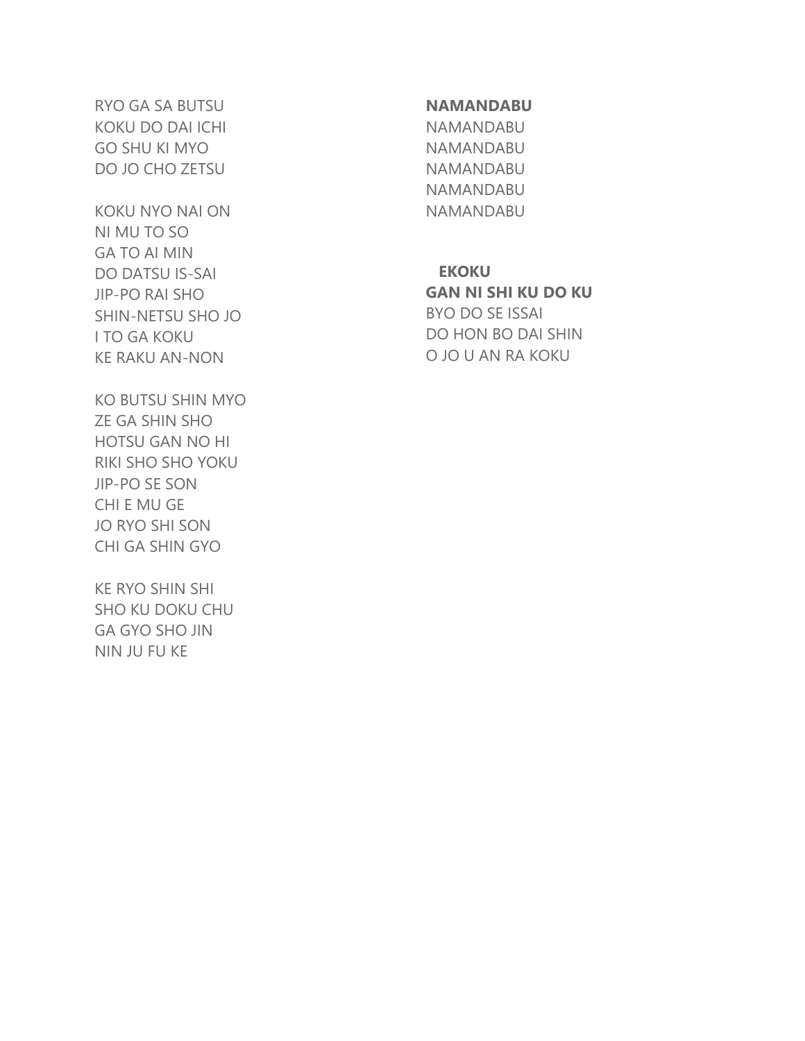RYO GA SA BUTSU KOKU DO DAI ICHI GO SHU KI MYO DO JO CHO ZETSU

KOKU NYO NAI ON NI MU TO SO GA TO AI MIN DO DATSU IS-SAI JIP-PO RAI SHO SHIN-NETSU SHO JO I TO GA KOKU KE RAKU AN-NON

KO BUTSU SHIN MYO ZE GA SHIN SHO HOTSU GAN NO HI RIKI SHO SHO YOKU JIP-PO SE SON CHI E MU GE JO RYO SHI SON CHI GA SHIN GYO

KE RYO SHIN SHI SHO KU DOKU CHU GA GYO SHO JIN NIN JU FU KE

## **NAMANDABU**

NAMANDABU NAMANDABU NAMANDABU NAMANDABU NAMANDABU

**EKOKU**

**GAN NI SHI KU DO KU** BYO DO SE ISSAI DO HON BO DAI SHIN O JO U AN RA KOKU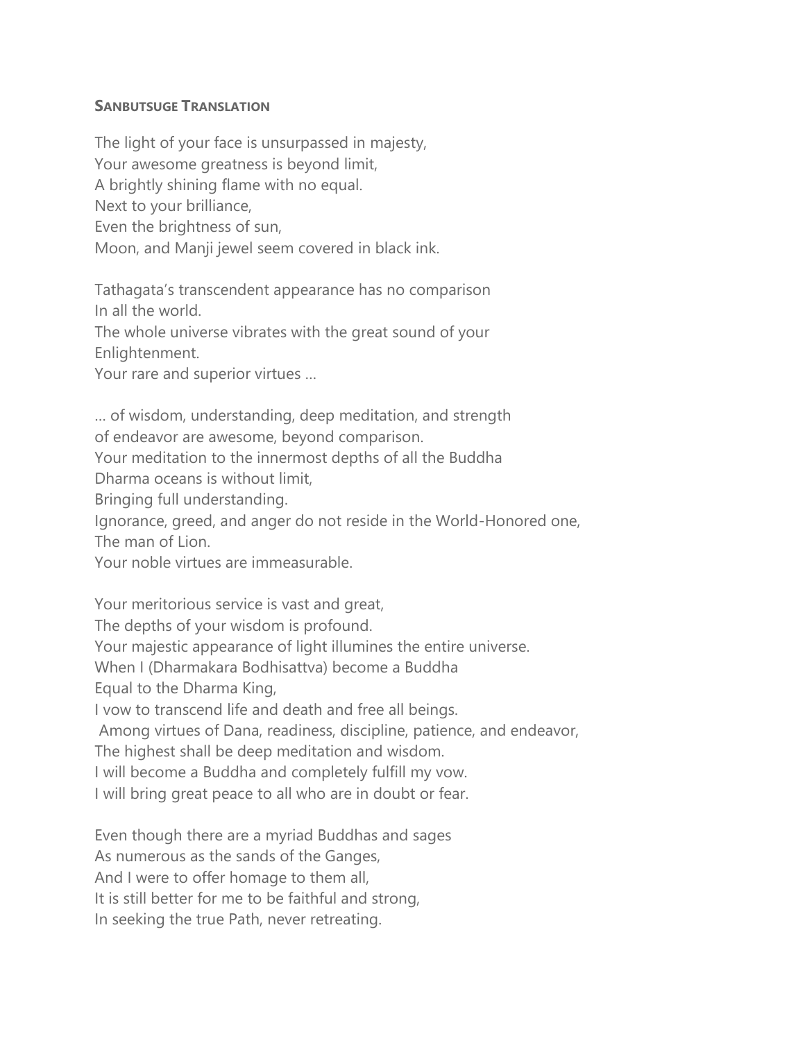## **SANBUTSUGE TRANSLATION**

The light of your face is unsurpassed in majesty, Your awesome greatness is beyond limit, A brightly shining flame with no equal. Next to your brilliance, Even the brightness of sun, Moon, and Manji jewel seem covered in black ink.

Tathagata's transcendent appearance has no comparison In all the world.

The whole universe vibrates with the great sound of your Enlightenment.

Your rare and superior virtues …

… of wisdom, understanding, deep meditation, and strength of endeavor are awesome, beyond comparison. Your meditation to the innermost depths of all the Buddha Dharma oceans is without limit, Bringing full understanding. Ignorance, greed, and anger do not reside in the World-Honored one, The man of Lion. Your noble virtues are immeasurable. Your meritorious service is vast and great, The depths of your wisdom is profound. Your majestic appearance of light illumines the entire universe. When I (Dharmakara Bodhisattva) become a Buddha

Equal to the Dharma King,

I vow to transcend life and death and free all beings.

Among virtues of Dana, readiness, discipline, patience, and endeavor,

The highest shall be deep meditation and wisdom.

I will become a Buddha and completely fulfill my vow.

I will bring great peace to all who are in doubt or fear.

Even though there are a myriad Buddhas and sages

As numerous as the sands of the Ganges,

And I were to offer homage to them all,

It is still better for me to be faithful and strong,

In seeking the true Path, never retreating.